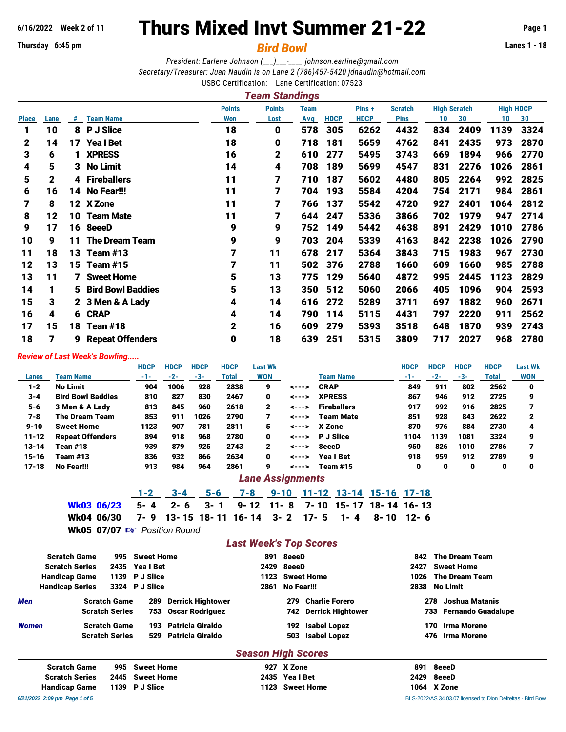## **Thursday 6:45 pm** *Bird Bowl* **Lanes 1 - 18**

# **6/16/2022 Week 2 of 11** Thurs Mixed Invt Summer 21-22 **Page 1**

*President: Earlene Johnson (\_\_\_)\_\_\_-\_\_\_\_ [johnson.earline@gmail.com](mailto:johnson.earline@gmail.com) Secretary/Treasurer: Juan Naudin is on Lane 2 (786)457-5420 [jdnaudin@hotmail.com](mailto:jdnaudin@hotmail.com)* USBC Certification: Lane Certification: 07523

|              |      |    |                          |               | Team Standings |             |             |             |                |     |                     |                  |      |
|--------------|------|----|--------------------------|---------------|----------------|-------------|-------------|-------------|----------------|-----|---------------------|------------------|------|
|              |      |    |                          | <b>Points</b> | <b>Points</b>  | <b>Team</b> |             | Pins +      | <b>Scratch</b> |     | <b>High Scratch</b> | <b>High HDCP</b> |      |
| <b>Place</b> | Lane | #  | <b>Team Name</b>         | Won           | Lost           | Avg         | <b>HDCP</b> | <b>HDCP</b> | <b>Pins</b>    | 10  | 30                  | 10               | 30   |
| 1            | 10   | 8  | <b>P J Slice</b>         | 18            | 0              | 578         | 305         | 6262        | 4432           | 834 | 2409                | 1139             | 3324 |
| 2            | 14   | 17 | <b>Yea I Bet</b>         | 18            | 0              | 718         | 181         | 5659        | 4762           | 841 | 2435                | 973              | 2870 |
| 3            | 6    | 1  | <b>XPRESS</b>            | 16            | 2              | 610         | 277         | 5495        | 3743           | 669 | 1894                | 966              | 2770 |
| 4            | 5    |    | 3 No Limit               | 14            | 4              | 708         | 189         | 5699        | 4547           | 831 | 2276                | 1026             | 2861 |
| 5            | 2    |    | 4 Fireballers            | 11            | 7              | 710         | 187         | 5602        | 4480           | 805 | 2264                | 992              | 2825 |
| 6            | 16   | 14 | No Fear!!!               | 11            | 7              | 704         | 193         | 5584        | 4204           | 754 | 2171                | 984              | 2861 |
| 7            | 8    |    | 12 X Zone                | 11            | 7              | 766         | 137         | 5542        | 4720           | 927 | 2401                | 1064             | 2812 |
| 8            | 12   | 10 | <b>Team Mate</b>         | 11            | 7              | 644         | 247         | 5336        | 3866           | 702 | 1979                | 947              | 2714 |
| 9            | 17   | 16 | 8eeeD                    | 9             | 9              | 752         | 149         | 5442        | 4638           | 891 | 2429                | 1010             | 2786 |
| 10           | 9    | 11 | <b>The Dream Team</b>    | 9             | 9              | 703         | 204         | 5339        | 4163           | 842 | 2238                | 1026             | 2790 |
| 11           | 18   | 13 | Team $#13$               | 7             | 11             | 678         | 217         | 5364        | 3843           | 715 | 1983                | 967              | 2730 |
| 12           | 13   | 15 | Team $#15$               |               | 11             | 502         | 376         | 2788        | 1660           | 609 | 1660                | 985              | 2788 |
| 13           | 11   |    | <b>7</b> Sweet Home      | 5             | 13             | 775         | 129         | 5640        | 4872           | 995 | 2445                | 1123             | 2829 |
| 14           |      | 5. | <b>Bird Bowl Baddies</b> | 5             | 13             | 350         | 512         | 5060        | 2066           | 405 | 1096                | 904              | 2593 |
| 15           | 3    |    | 2 3 Men & A Lady         | 4             | 14             | 616         | 272         | 5289        | 3711           | 697 | 1882                | 960              | 2671 |
| 16           | 4    | 6  | <b>CRAP</b>              | 4             | 14             | 790         | 114         | 5115        | 4431           | 797 | 2220                | 911              | 2562 |
| 17           | 15   | 18 | Tean #18                 | $\mathbf{2}$  | 16             | 609         | 279         | 5393        | 3518           | 648 | 1870                | 939              | 2743 |
| 18           | 7    | 9  | <b>Repeat Offenders</b>  | 0             | 18             | 639         | 251         | 5315        | 3809           | 717 | 2027                | 968              | 2780 |
|              |      |    |                          |               |                |             |             |             |                |     |                     |                  |      |

#### *Review of Last Week's Bowling.....*

|           |                          | <b>HDCP</b> | <b>HDCP</b> | <b>HDCP</b> | <b>HDCP</b> | <b>Last Wk</b> |       |                    | <b>HDCP</b> | <b>HDCP</b> | <b>HDCP</b> | <b>HDCP</b> | <b>Last Wk</b> |
|-----------|--------------------------|-------------|-------------|-------------|-------------|----------------|-------|--------------------|-------------|-------------|-------------|-------------|----------------|
| Lanes     | Team Name                | -1-         | $-2-$       | -3-         | Total       | <b>WON</b>     |       | Team Name          | $-1-$       | $-2-$       | -3-         | Total       | <b>WON</b>     |
| $1 - 2$   | <b>No Limit</b>          | 904         | 1006        | 928         | 2838        | 9              | <---> | <b>CRAP</b>        | 849         | 911         | 802         | 2562        | 0              |
| $3 - 4$   | <b>Bird Bowl Baddies</b> | 810         | 827         | 830         | 2467        | 0              | <---> | <b>XPRESS</b>      | 867         | 946         | 912         | 2725        | 9              |
| $5 - 6$   | 3 Men & A Lady           | 813         | 845         | 960         | 2618        | 2              | <---> | <b>Fireballers</b> | 917         | 992         | 916         | 2825        |                |
| 7-8       | <b>The Dream Team</b>    | 853         | 911         | 1026        | 2790        | 7              | <---> | <b>Team Mate</b>   | 851         | 928         | 843         | 2622        | 2              |
| $9 - 10$  | <b>Sweet Home</b>        | 1123        | 907         | 781         | 2811        | 5              | <---> | X Zone             | 870         | 976         | 884         | 2730        | 4              |
| $11 - 12$ | <b>Repeat Offenders</b>  | 894         | 918         | 968         | 2780        | 0              | <---> | <b>P</b> J Slice   | 1104        | 1139        | 1081        | 3324        | 9              |
| $13 - 14$ | Tean #18                 | 939         | 879         | 925         | 2743        | $\mathbf{2}$   | <---> | 8eeeD              | 950         | 826         | 1010        | 2786        |                |
| $15 - 16$ | <b>Team #13</b>          | 836         | 932         | 866         | 2634        | 0              | <---> | Yea I Bet          | 918         | 959         | 912         | 2789        | 9              |
| 17-18     | No Fear!!!               | 913         | 984         | 964         | 2861        | 9              | <---> | <b>Team #15</b>    | o           | 0           | o           |             | 0              |

#### *Lane Assignments*

|                                                                           |  | 1-2 3-4 5-6 7-8 9-10 11-12 13-14 15-16 17-18 |  |  |  |
|---------------------------------------------------------------------------|--|----------------------------------------------|--|--|--|
| Wk03 06/23  5- 4  2- 6  3- 1  9- 12 11- 8  7- 10 15- 17 18- 14 16- 13     |  |                                              |  |  |  |
| Wk04 06/30  7- 9 13- 15 18- 11 16- 14  3- 2  17-  5  1-  4   8- 10 12-  6 |  |                                              |  |  |  |

Wk05 07/07  $\mathbb{R}$  Position Round

### *Last Week's Top Scores*

|              | <b>Scratch Game</b>    | 995                   | <b>Sweet Home</b> |                          |                           | 891 8eeeD     |                          | 842  | <b>The Dream Team</b>            |
|--------------|------------------------|-----------------------|-------------------|--------------------------|---------------------------|---------------|--------------------------|------|----------------------------------|
|              | <b>Scratch Series</b>  |                       | 2435 Yeal Bet     |                          |                           | 2429 8eeeD    |                          | 2427 | <b>Sweet Home</b>                |
|              | <b>Handicap Game</b>   | 1139                  | <b>P</b> J Slice  |                          |                           |               | 1123 Sweet Home          | 1026 | <b>The Dream Team</b>            |
|              | <b>Handicap Series</b> |                       | 3324 P J Slice    |                          | 2861                      | No Fear!!!    |                          | 2838 | No Limit                         |
| <b>Men</b>   |                        | <b>Scratch Game</b>   | 289               | <b>Derrick Hightower</b> |                           | 279           | <b>Charlie Forero</b>    |      | Joshua Matanis<br>278            |
|              |                        | <b>Scratch Series</b> | 753               | <b>Oscar Rodriguez</b>   |                           | 742           | <b>Derrick Hightower</b> |      | <b>Fernando Guadalupe</b><br>733 |
| <b>Women</b> |                        | <b>Scratch Game</b>   | 193               | <b>Patricia Giraldo</b>  |                           | 192           | <b>Isabel Lopez</b>      |      | Irma Moreno<br>170               |
|              |                        | <b>Scratch Series</b> | 529               | <b>Patricia Giraldo</b>  |                           | 503           | <b>Isabel Lopez</b>      |      | Irma Moreno<br>476               |
|              |                        |                       |                   |                          | <b>Season High Scores</b> |               |                          |      |                                  |
|              | <b>Scratch Game</b>    | 995                   | <b>Sweet Home</b> |                          | 927                       | X Zone        |                          | 891  | 8eeeD                            |
|              | <b>Scratch Series</b>  | 2445                  | <b>Sweet Home</b> |                          |                           | 2435 Yeal Bet |                          | 2429 | 8eeeD                            |
|              | <b>Handicap Game</b>   | 1139                  | <b>P</b> J Slice  |                          |                           |               | 1123 Sweet Home          |      | 1064 X Zone                      |

*6/21/2022 2:09 pm Page 1 of 5* BLS-2022/AS 34.03.07 licensed to Dion Defreitas - Bird Bowl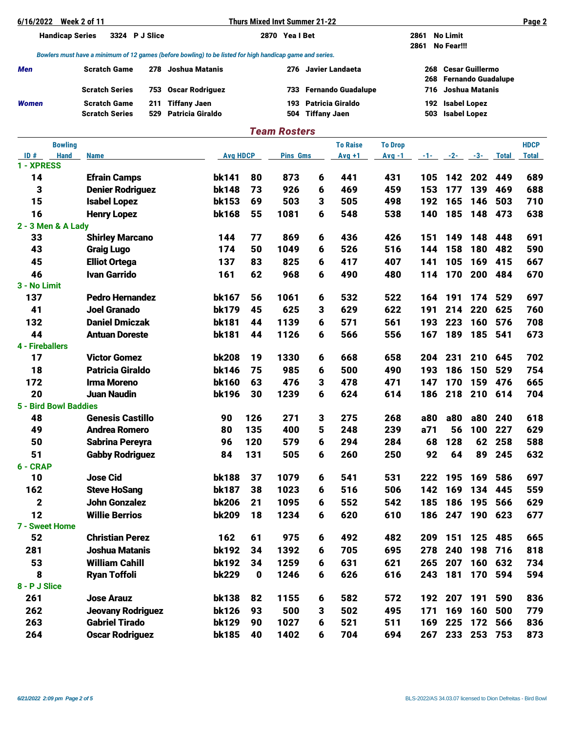| 6/16/2022                    | <b>Week 2 of 11</b>                                                                                      |                                                |                   | <b>Thurs Mixed Invt Summer 21-22</b> |                        |                         |                |                                                                   |            |                                            |            | Page 2       |
|------------------------------|----------------------------------------------------------------------------------------------------------|------------------------------------------------|-------------------|--------------------------------------|------------------------|-------------------------|----------------|-------------------------------------------------------------------|------------|--------------------------------------------|------------|--------------|
| <b>Handicap Series</b>       | 3324 P J Slice                                                                                           |                                                |                   | 2870 Yeal Bet                        |                        |                         |                | 2861 No Limit<br>2861                                             | No Fear!!! |                                            |            |              |
|                              | Bowlers must have a minimum of 12 games (before bowling) to be listed for high handicap game and series. |                                                |                   |                                      |                        |                         |                |                                                                   |            |                                            |            |              |
| Men                          | <b>Scratch Game</b><br>278 Joshua Matanis                                                                |                                                |                   |                                      |                        | 276 Javier Landaeta     |                | <b>Cesar Guillermo</b><br>268<br><b>Fernando Guadalupe</b><br>268 |            |                                            |            |              |
|                              | <b>Scratch Series</b><br>753                                                                             | <b>Oscar Rodriguez</b>                         |                   |                                      | 733 Fernando Guadalupe |                         |                | 716                                                               |            | <b>Joshua Matanis</b>                      |            |              |
| Women                        | <b>Scratch Game</b><br>211<br><b>Scratch Series</b><br>529                                               | <b>Tiffany Jaen</b><br><b>Patricia Giraldo</b> |                   | 193<br>504                           | <b>Tiffany Jaen</b>    | <b>Patricia Giraldo</b> |                | 192<br>503                                                        |            | <b>Isabel Lopez</b><br><b>Isabel Lopez</b> |            |              |
|                              |                                                                                                          |                                                |                   | <b>Team Rosters</b>                  |                        |                         |                |                                                                   |            |                                            |            |              |
| <b>Bowling</b>               |                                                                                                          |                                                |                   |                                      |                        | <b>To Raise</b>         | <b>To Drop</b> |                                                                   |            |                                            |            | <b>HDCP</b>  |
| ID#<br><b>Hand</b>           | <b>Name</b>                                                                                              | <b>Avg HDCP</b>                                |                   | Pins Gms                             |                        | $Avg +1$                | $Avg -1$       |                                                                   |            | $-1$ $-2$ $-3$ $-3$                        | Total      | <b>Total</b> |
| 1 - XPRESS                   |                                                                                                          |                                                |                   |                                      |                        |                         |                |                                                                   |            |                                            |            |              |
| 14                           | <b>Efrain Camps</b>                                                                                      | <b>bk141</b>                                   | 80                | 873                                  | 6                      | 441                     | 431            | 105                                                               | 142        | 202                                        | 449        | 689          |
| 3                            | <b>Denier Rodriguez</b>                                                                                  | <b>bk148</b>                                   | 73                | 926                                  | 6                      | 469                     | 459            | 153                                                               | 177        | 139                                        | 469        | 688          |
| 15                           | <b>Isabel Lopez</b>                                                                                      | bk153                                          | 69                | 503                                  | 3                      | 505                     | 498            | 192                                                               | 165        | 146                                        | 503        | 710          |
| 16                           | <b>Henry Lopez</b>                                                                                       | bk168                                          | 55                | 1081                                 | 6                      | 548                     | 538            | 140                                                               | 185        | 148                                        | 473        | 638          |
| 2 - 3 Men & A Lady           |                                                                                                          |                                                |                   |                                      |                        |                         |                |                                                                   |            |                                            |            |              |
| 33<br>43                     | <b>Shirley Marcano</b><br><b>Graig Lugo</b>                                                              | 144<br>174                                     | 77<br>50          | 869<br>1049                          | 6                      | 436<br>526              | 426<br>516     | 151                                                               | 149        | 148                                        | 448        | 691<br>590   |
| 45                           | <b>Elliot Ortega</b>                                                                                     | 137                                            | 83                | 825                                  | 6<br>6                 | 417                     | 407            | 144<br>141                                                        | 158        | 180                                        | 482        | 667          |
| 46                           | <b>Ivan Garrido</b>                                                                                      | 161                                            | 62                | 968                                  | 6                      | 490                     | 480            | 114                                                               | 105<br>170 | 169<br>200                                 | 415<br>484 | 670          |
| 3 - No Limit                 |                                                                                                          |                                                |                   |                                      |                        |                         |                |                                                                   |            |                                            |            |              |
| 137                          | <b>Pedro Hernandez</b>                                                                                   | bk167                                          | 56                | 1061                                 | 6                      | 532                     | 522            | 164                                                               | 191        | 174                                        | 529        | 697          |
| 41                           | <b>Joel Granado</b>                                                                                      | <b>bk179</b>                                   | 45                | 625                                  | 3                      | 629                     | 622            | 191                                                               | 214        | 220                                        | 625        | 760          |
| 132                          | <b>Daniel Dmiczak</b>                                                                                    | <b>bk181</b>                                   | 44                | 1139                                 | 6                      | 571                     | 561            | 193                                                               | 223        | 160                                        | 576        | 708          |
| 44                           | <b>Antuan Doreste</b>                                                                                    | <b>bk181</b>                                   | 44                | 1126                                 | 6                      | 566                     | 556            | 167                                                               | 189        | 185                                        | 541        | 673          |
| 4 - Fireballers              |                                                                                                          |                                                |                   |                                      |                        |                         |                |                                                                   |            |                                            |            |              |
| 17                           | <b>Victor Gomez</b>                                                                                      | <b>bk208</b>                                   | 19                | 1330                                 | 6                      | 668                     | 658            | 204                                                               | 231        | 210                                        | 645        | 702          |
| 18                           | <b>Patricia Giraldo</b>                                                                                  | <b>bk146</b>                                   | 75                | 985                                  | 6                      | 500                     | 490            | 193                                                               | 186        | 150                                        | 529        | 754          |
| 172                          | <b>Irma Moreno</b>                                                                                       | <b>bk160</b>                                   | 63                | 476                                  | 3                      | 478                     | 471            | 147                                                               | 170        | 159                                        | 476        | 665          |
| 20                           | <b>Juan Naudin</b>                                                                                       | <b>bk196</b>                                   | 30                | 1239                                 | 6                      | 624                     | 614            | 186                                                               | 218        | 210                                        | 614        | 704          |
| <b>5 - Bird Bowl Baddies</b> |                                                                                                          |                                                |                   |                                      |                        |                         |                |                                                                   |            |                                            |            |              |
| 48                           | <b>Genesis Castillo</b>                                                                                  | 90                                             | 126               | 271                                  | 3                      | 275                     | 268            | a80                                                               | a80        | a80                                        | 240        | 618          |
| 49                           | <b>Andrea Romero</b>                                                                                     | 80                                             | 135               | 400                                  | 5                      | 248                     | 239            | a71                                                               | 56         | 100 227                                    |            | 629          |
| 50                           | <b>Sabrina Pereyra</b>                                                                                   | 96                                             | 120               | 579                                  | 6                      | 294                     | 284            | 68                                                                | 128        | 62                                         | 258        | 588          |
| 51                           | <b>Gabby Rodriguez</b>                                                                                   | 84                                             | 131               | 505                                  | 6                      | 260                     | 250            | 92                                                                | 64         | 89                                         | 245        | 632          |
| 6 - CRAP                     |                                                                                                          |                                                |                   |                                      |                        |                         |                |                                                                   |            |                                            |            |              |
| 10                           | <b>Jose Cid</b>                                                                                          | <b>bk188</b>                                   | 37                | 1079                                 | 6                      | 541                     | 531            | 222                                                               |            | 195 169                                    | 586        | 697          |
| 162                          | <b>Steve HoSang</b>                                                                                      | <b>bk187</b>                                   | 38                | 1023                                 | 6                      | 516                     | 506            | 142                                                               |            | 169 134                                    | 445        | 559          |
| $\mathbf 2$                  | <b>John Gonzalez</b>                                                                                     | <b>bk206</b>                                   | 21                | 1095                                 | 6                      | 552                     | 542            | 185                                                               | 186        | 195                                        | 566        | 629          |
| 12                           | <b>Willie Berrios</b>                                                                                    | <b>bk209</b>                                   | 18                | 1234                                 | 6                      | 620                     | 610            | 186                                                               |            | 247 190 623                                |            | 677          |
| 7 - Sweet Home<br>52         | <b>Christian Perez</b>                                                                                   | 162                                            | 61                | 975                                  |                        | 492                     | 482            | 209                                                               | 151        | 125                                        | 485        |              |
|                              |                                                                                                          |                                                |                   |                                      | 6                      |                         |                |                                                                   |            |                                            |            | 665          |
| 281<br>53                    | <b>Joshua Matanis</b><br><b>William Cahill</b>                                                           | <b>bk192</b><br><b>bk192</b>                   | 34                | 1392<br>1259                         | 6<br>6                 | 705<br>631              | 695<br>621     | 278<br>265                                                        | 240<br>207 | 198<br>160                                 | 716        | 818          |
| 8                            | <b>Ryan Toffoli</b>                                                                                      | <b>bk229</b>                                   | 34<br>$\mathbf 0$ | 1246                                 | 6                      | 626                     | 616            | 243                                                               | 181        | 170                                        | 632<br>594 | 734<br>594   |
| 8 - P J Slice                |                                                                                                          |                                                |                   |                                      |                        |                         |                |                                                                   |            |                                            |            |              |
| 261                          | <b>Jose Arauz</b>                                                                                        | <b>bk138</b>                                   | 82                | 1155                                 | 6                      | 582                     | 572            | 192                                                               | 207        | 191                                        | 590        | 836          |
| 262                          | <b>Jeovany Rodriguez</b>                                                                                 | <b>bk126</b>                                   | 93                | 500                                  | 3                      | 502                     | 495            | 171                                                               | 169        | 160                                        | 500        | 779          |
| 263                          | <b>Gabriel Tirado</b>                                                                                    | <b>bk129</b>                                   | 90                | 1027                                 | 6                      | 521                     | 511            | 169                                                               | 225        | 172                                        | 566        | 836          |
| 264                          | <b>Oscar Rodriguez</b>                                                                                   | <b>bk185</b>                                   | 40                | 1402                                 | 6                      | 704                     | 694            | 267                                                               |            | 233 253 753                                |            | 873          |
|                              |                                                                                                          |                                                |                   |                                      |                        |                         |                |                                                                   |            |                                            |            |              |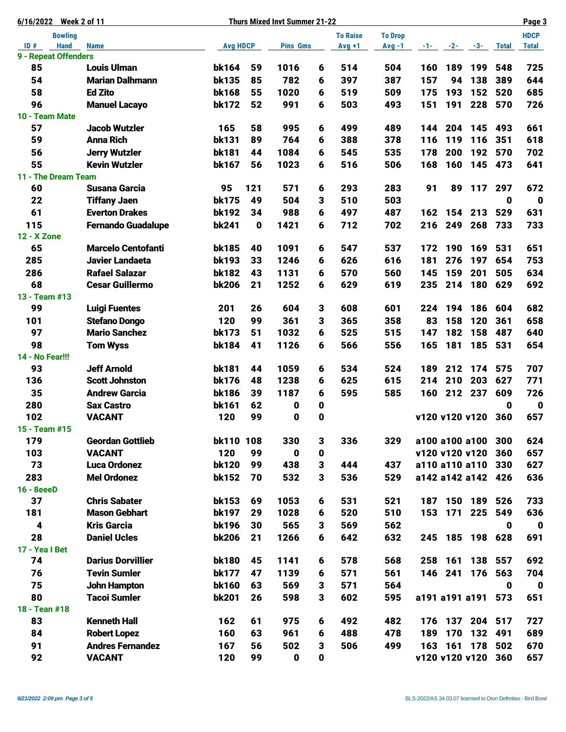| <b>Week 2 of 11</b><br>6/16/2022 |                           |                 |             | <b>Thurs Mixed Invt Summer 21-22</b> |                 | Page 3         |          |                    |         |                |              |              |  |
|----------------------------------|---------------------------|-----------------|-------------|--------------------------------------|-----------------|----------------|----------|--------------------|---------|----------------|--------------|--------------|--|
| <b>Bowling</b>                   |                           |                 |             |                                      | <b>To Raise</b> | <b>To Drop</b> |          |                    |         |                | <b>HDCP</b>  |              |  |
| ID#<br><b>Hand</b>               | <b>Name</b>               | <b>Avg HDCP</b> |             | <b>Pins Gms</b>                      |                 | $Avg +1$       | $Avg -1$ |                    |         | $-1$ $-2$ $-3$ | <b>Total</b> | <b>Total</b> |  |
| 9 - Repeat Offenders             |                           |                 |             |                                      |                 |                |          |                    |         |                |              |              |  |
| 85                               | <b>Louis Ulman</b>        | <b>bk164</b>    | 59          | 1016                                 | 6               | 514            | 504      | 160                | 189     | 199            | 548          | 725          |  |
| 54                               | <b>Marian Dalhmann</b>    | <b>bk135</b>    | 85          | 782                                  | 6               | 397            | 387      | 157                | 94      | 138            | 389          | 644          |  |
| 58<br>96                         | <b>Ed Zito</b>            | <b>bk168</b>    | 55          | 1020                                 | 6               | 519            | 509      | 175                | 193     | 152            | 520          | 685          |  |
|                                  | <b>Manuel Lacayo</b>      | <b>bk172</b>    | 52          | 991                                  | 6               | 503            | 493      | 151                | 191     | 228            | 570          | 726          |  |
| 10 - Team Mate<br>57             | <b>Jacob Wutzler</b>      | 165             | 58          | 995                                  | 6               | 499            | 489      | 144                | 204     | 145            | 493          | 661          |  |
| 59                               | <b>Anna Rich</b>          | <b>bk131</b>    | 89          | 764                                  | 6               | 388            | 378      | 116                | 119     | 116            | 351          | 618          |  |
| 56                               | <b>Jerry Wutzler</b>      | <b>bk181</b>    | 44          | 1084                                 | 6               | 545            | 535      | 178                | 200     | 192            | 570          | 702          |  |
| 55                               | <b>Kevin Wutzler</b>      | <b>bk167</b>    | 56          | 1023                                 | 6               | 516            | 506      | 168                | 160     | 145            | 473          | 641          |  |
| 11 - The Dream Team              |                           |                 |             |                                      |                 |                |          |                    |         |                |              |              |  |
| 60                               | <b>Susana Garcia</b>      | 95              | 121         | 571                                  | 6               | 293            | 283      | 91                 | 89      | 117            | 297          | 672          |  |
| 22                               | <b>Tiffany Jaen</b>       | <b>bk175</b>    | 49          | 504                                  | 3               | 510            | 503      |                    |         |                | $\mathbf{0}$ | $\mathbf 0$  |  |
| 61                               | <b>Everton Drakes</b>     | <b>bk192</b>    | 34          | 988                                  | 6               | 497            | 487      | 162                | 154     | 213            | 529          | 631          |  |
| 115                              | <b>Fernando Guadalupe</b> | <b>bk241</b>    | $\mathbf 0$ | 1421                                 | 6               | 712            | 702      | 216                | 249     | 268            | 733          | 733          |  |
| <b>12 - X Zone</b>               |                           |                 |             |                                      |                 |                |          |                    |         |                |              |              |  |
| 65                               | <b>Marcelo Centofanti</b> | <b>bk185</b>    | 40          | 1091                                 | 6               | 547            | 537      | 172                | 190     | 169            | 531          | 651          |  |
| 285                              | <b>Javier Landaeta</b>    | <b>bk193</b>    | 33          | 1246                                 | 6               | 626            | 616      | 181                | 276     | 197            | 654          | 753          |  |
| 286                              | <b>Rafael Salazar</b>     | <b>bk182</b>    | 43          | 1131                                 | 6               | 570            | 560      | 145                | 159     | 201            | 505          | 634          |  |
| 68                               | <b>Cesar Guillermo</b>    | <b>bk206</b>    | 21          | 1252                                 | 6               | 629            | 619      | 235                | 214     | 180            | 629          | 692          |  |
| 13 - Team #13                    |                           |                 |             |                                      |                 |                |          |                    |         |                |              |              |  |
| 99                               | <b>Luigi Fuentes</b>      | 201             | 26          | 604                                  | 3               | 608            | 601      | 224                | 194     | 186            | 604          | 682          |  |
| 101                              | <b>Stefano Dongo</b>      | 120             | 99          | 361                                  | 3               | 365            | 358      | 83                 | 158     | 120            | 361          | 658          |  |
| 97                               | <b>Mario Sanchez</b>      | <b>bk173</b>    | 51          | 1032                                 | 6               | 525            | 515      | 147                | 182     | 158            | 487          | 640          |  |
| 98                               | <b>Tom Wyss</b>           | <b>bk184</b>    | 41          | 1126                                 | 6               | 566            | 556      | 165                | 181     |                | 185 531      | 654          |  |
| 14 - No Fear!!!                  |                           |                 |             |                                      |                 |                |          |                    |         |                |              |              |  |
| 93                               | <b>Jeff Arnold</b>        | <b>bk181</b>    | 44          | 1059                                 | 6               | 534            | 524      | 189                | 212     |                | 174 575      | 707          |  |
| 136                              | <b>Scott Johnston</b>     | <b>bk176</b>    | 48          | 1238                                 | 6               | 625            | 615      | 214                | 210     | 203            | 627          | 771          |  |
| 35                               | <b>Andrew Garcia</b>      | <b>bk186</b>    | 39          | 1187                                 | 6               | 595            | 585      | 160                |         | 212 237        | 609          | 726          |  |
| 280                              | <b>Sax Castro</b>         | <b>bk161</b>    | 62          | 0                                    | $\mathbf 0$     |                |          |                    |         |                | $\mathbf 0$  | $\mathbf 0$  |  |
| 102                              | <b>VACANT</b>             | 120             | 99          | 0                                    | 0               |                |          | v120 v120 v120     |         |                | 360          | 657          |  |
| 15 - Team #15                    |                           |                 |             |                                      |                 |                |          |                    |         |                |              |              |  |
| 179                              | <b>Geordan Gottlieb</b>   | bk110 108       |             | 330                                  | 3               | 336            | 329      | a100 a100 a100     |         |                | 300          | 624          |  |
| 103                              | <b>VACANT</b>             | 120             | 99          | 0                                    | 0               |                |          | v120 v120 v120     |         |                | 360          | 657          |  |
| 73                               | <b>Luca Ordonez</b>       | <b>bk120</b>    | 99          | 438                                  | 3               | 444            | 437      | a110 a110 a110     |         |                | 330          | 627          |  |
| 283                              | <b>Mel Ordonez</b>        | <b>bk152</b>    | 70          | 532                                  | 3               | 536            | 529      | a142 a142 a142 426 |         |                |              | 636          |  |
| 16 - 8eeeD                       |                           |                 |             |                                      |                 |                |          |                    |         |                |              |              |  |
| 37                               | <b>Chris Sabater</b>      | <b>bk153</b>    | 69          | 1053                                 | 6               | 531            | 521      | 187                |         | 150 189        | 526          | 733          |  |
| 181                              | <b>Mason Gebhart</b>      | <b>bk197</b>    | 29          | 1028                                 | 6               | 520            | 510      | 153                |         | 171 225        | 549          | 636          |  |
| 4                                | <b>Kris Garcia</b>        | <b>bk196</b>    | 30          | 565                                  | 3               | 569            | 562      |                    |         |                | $\mathbf 0$  | $\mathbf 0$  |  |
| 28                               | <b>Daniel Ucles</b>       | <b>bk206</b>    | 21          | 1266                                 | 6               | 642            | 632      | 245                |         | 185 198 628    |              | 691          |  |
| 17 - Yea I Bet                   |                           |                 |             |                                      |                 |                |          |                    |         |                |              |              |  |
| 74                               | <b>Darius Dorvillier</b>  | <b>bk180</b>    | 45          | 1141                                 | 6               | 578            | 568      | 258                | 161     | 138            | 557          | 692          |  |
| 76                               | <b>Tevin Sumler</b>       | <b>bk177</b>    | 47          | 1139                                 | 6               | 571            | 561      |                    | 146 241 |                | 176 563      | 704          |  |
| 75                               | <b>John Hampton</b>       | <b>bk160</b>    | 63          | 569                                  | 3               | 571            | 564      |                    |         |                | $\mathbf{0}$ | $\mathbf 0$  |  |
| 80                               | <b>Tacoi Sumler</b>       | <b>bk201</b>    | 26          | 598                                  | 3               | 602            | 595      | a191 a191 a191 573 |         |                |              | 651          |  |
| 18 - Tean #18                    |                           |                 |             |                                      |                 |                |          |                    |         |                |              |              |  |
| 83                               | <b>Kenneth Hall</b>       | 162             | 61          | 975                                  | 6               | 492            | 482      | 176                |         | 137 204 517    |              | 727          |  |
| 84                               | <b>Robert Lopez</b>       | 160             | 63          | 961                                  | 6               | 488            | 478      | 189                | 170     | 132            | 491          | 689          |  |
| 91                               | <b>Andres Fernandez</b>   | 167             | 56          | 502                                  | 3               | 506            | 499      | 163                | 161     | 178            | 502          | 670          |  |
| 92                               | <b>VACANT</b>             | 120             | 99          | 0                                    | 0               |                |          | v120 v120 v120     |         |                | 360          | 657          |  |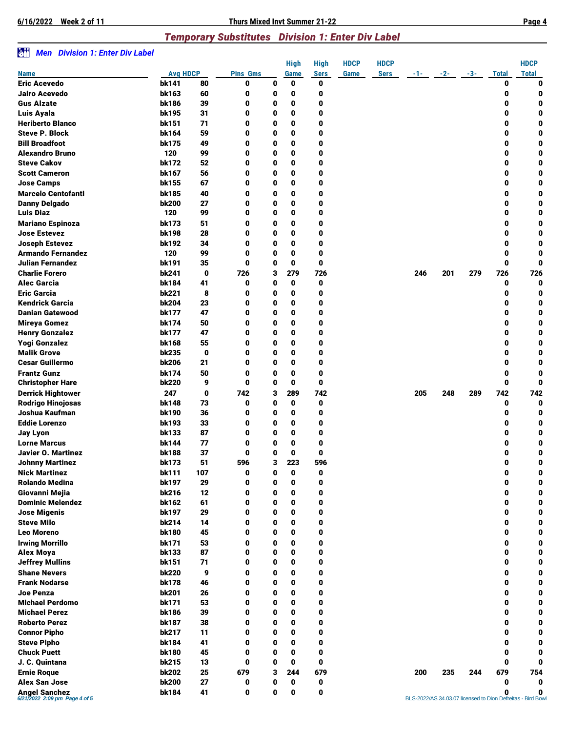**6/16/2022 Week 2 of 11 Thurs Mixed Invt Summer 21-22 Page 4**

## *Temporary Substitutes Division 1: Enter Div Label*

## z *Men Division 1: Enter Div Label*

|                                                |                 |             |                 |   | High         | High        | <b>HDCP</b> | <b>HDCP</b> |      |       |       |              | <b>HDCP</b>                                                     |
|------------------------------------------------|-----------------|-------------|-----------------|---|--------------|-------------|-------------|-------------|------|-------|-------|--------------|-----------------------------------------------------------------|
| <b>Name</b>                                    | <b>Avg HDCP</b> |             | <b>Pins Gms</b> |   | <b>Game</b>  | <b>Sers</b> | Game        | <b>Sers</b> | -1-1 | $-2-$ | $-3-$ | <b>Total</b> | <b>Total</b>                                                    |
| <b>Eric Acevedo</b>                            | <b>bk141</b>    | 80          | 0               | 0 | 0            | 0           |             |             |      |       |       | 0            | 0                                                               |
| Jairo Acevedo                                  | bk163           | 60          | 0               | 0 | 0            | 0           |             |             |      |       |       | 0            | 0                                                               |
| <b>Gus Alzate</b>                              | <b>bk186</b>    | 39          | 0               | 0 | 0            | 0           |             |             |      |       |       | 0            | 0                                                               |
| Luis Ayala                                     | bk195           | 31          | 0               | 0 | 0            | 0           |             |             |      |       |       | 0            | 0                                                               |
| <b>Heriberto Blanco</b>                        | bk151           | 71          | 0               | 0 | 0            | 0           |             |             |      |       |       | 0            | 0                                                               |
| <b>Steve P. Block</b>                          | bk164           | 59          | 0               | 0 | 0            | 0           |             |             |      |       |       | 0            | 0                                                               |
| <b>Bill Broadfoot</b>                          | <b>bk175</b>    | 49          | 0               | 0 | $\mathbf{0}$ | 0           |             |             |      |       |       | 0            | 0                                                               |
| <b>Alexandro Bruno</b>                         | 120             | 99          | 0               | 0 | 0            | 0           |             |             |      |       |       | 0            | 0                                                               |
| <b>Steve Cakov</b>                             | <b>bk172</b>    | 52          | 0               | 0 | 0            | 0           |             |             |      |       |       | 0            | 0                                                               |
| <b>Scott Cameron</b>                           |                 | 56          | 0               |   | 0            | 0           |             |             |      |       |       | 0            |                                                                 |
|                                                | bk167           |             |                 | 0 |              |             |             |             |      |       |       |              | 0                                                               |
| <b>Jose Camps</b>                              | bk155           | 67          | 0               | 0 | 0            | 0           |             |             |      |       |       | 0            | 0                                                               |
| <b>Marcelo Centofanti</b>                      | bk185           | 40          | 0               | 0 | $\mathbf{0}$ | 0           |             |             |      |       |       | 0            | 0                                                               |
| <b>Danny Delgado</b>                           | <b>bk200</b>    | 27          | 0               | 0 | 0            | 0           |             |             |      |       |       | 0            | 0                                                               |
| <b>Luis Diaz</b>                               | 120             | 99          | 0               | 0 | 0            | 0           |             |             |      |       |       | 0            | 0                                                               |
| <b>Mariano Espinoza</b>                        | <b>bk173</b>    | 51          | 0               | 0 | 0            | 0           |             |             |      |       |       | 0            | 0                                                               |
| <b>Jose Estevez</b>                            | bk198           | 28          | 0               | 0 | 0            | 0           |             |             |      |       |       | 0            | 0                                                               |
| <b>Joseph Estevez</b>                          | bk192           | 34          | 0               | 0 | 0            | 0           |             |             |      |       |       | 0            | 0                                                               |
| <b>Armando Fernandez</b>                       | 120             | 99          | 0               | 0 | 0            | 0           |             |             |      |       |       | 0            | 0                                                               |
| Julian Fernandez                               | bk191           | 35          | 0               | 0 | 0            | $\mathbf 0$ |             |             |      |       |       | 0            | 0                                                               |
| <b>Charlie Forero</b>                          | bk241           | 0           | 726             | 3 | 279          | 726         |             |             | 246  | 201   | 279   | 726          | 726                                                             |
| <b>Alec Garcia</b>                             | bk184           | 41          | 0               | 0 | 0            | 0           |             |             |      |       |       | 0            | 0                                                               |
| <b>Eric Garcia</b>                             | <b>bk221</b>    | 8           | 0               | 0 | 0            | 0           |             |             |      |       |       | 0            | 0                                                               |
| <b>Kendrick Garcia</b>                         | <b>bk204</b>    | 23          | 0               | 0 | 0            | 0           |             |             |      |       |       | 0            | 0                                                               |
| <b>Danian Gatewood</b>                         | <b>bk177</b>    | 47          | 0               | 0 | 0            | 0           |             |             |      |       |       | 0            | 0                                                               |
| <b>Mireya Gomez</b>                            | bk174           | 50          | 0               | 0 | 0            | 0           |             |             |      |       |       | 0            | 0                                                               |
| <b>Henry Gonzalez</b>                          | <b>bk177</b>    | 47          | 0               | 0 | 0            | 0           |             |             |      |       |       | 0            | 0                                                               |
| <b>Yogi Gonzalez</b>                           | bk168           | 55          | 0               | 0 | $\mathbf{0}$ | 0           |             |             |      |       |       | 0            | 0                                                               |
| <b>Malik Grove</b>                             | <b>bk235</b>    | $\mathbf 0$ | 0               | 0 | 0            | 0           |             |             |      |       |       | 0            | 0                                                               |
| <b>Cesar Guillermo</b>                         | <b>bk206</b>    | 21          | 0               | 0 | 0            | 0           |             |             |      |       |       | 0            | 0                                                               |
| <b>Frantz Gunz</b>                             | <b>bk174</b>    | 50          | 0               | 0 | 0            | 0           |             |             |      |       |       | 0            | 0                                                               |
|                                                | <b>bk220</b>    | 9           | 0               | 0 | 0            | $\mathbf 0$ |             |             |      |       |       | 0            | 0                                                               |
| <b>Christopher Hare</b>                        |                 |             |                 |   |              |             |             |             |      |       |       |              |                                                                 |
| <b>Derrick Hightower</b>                       | 247             | 0           | 742             | 3 | 289          | 742         |             |             | 205  | 248   | 289   | 742          | 742                                                             |
| <b>Rodrigo Hinojosas</b>                       | bk148           | 73          | 0               | 0 | 0            | 0           |             |             |      |       |       | 0            | 0                                                               |
| Joshua Kaufman                                 | <b>bk190</b>    | 36          | 0               | 0 | 0            | 0           |             |             |      |       |       | 0            | 0                                                               |
| <b>Eddie Lorenzo</b>                           | bk193           | 33          | 0               | 0 | 0            | 0           |             |             |      |       |       | 0            | 0                                                               |
| <b>Jay Lyon</b>                                | bk133           | 87          | 0               | 0 | 0            | 0           |             |             |      |       |       | 0            | 0                                                               |
| <b>Lorne Marcus</b>                            | bk144           | 77          | 0               | 0 | 0            | 0           |             |             |      |       |       | 0            | 0                                                               |
| Javier O. Martinez                             | <b>bk188</b>    | 37          | 0               | 0 | 0            | 0           |             |             |      |       |       | 0            | 0                                                               |
| <b>Johnny Martinez</b>                         | <b>bk173</b>    | 51          | 596             | 3 | 223          | 596         |             |             |      |       |       | 0            | 0                                                               |
| <b>Nick Martinez</b>                           | bk111           | 107         | 0               | 0 | 0            | 0           |             |             |      |       |       | 0            | 0                                                               |
| <b>Rolando Medina</b>                          | <b>bk197</b>    | 29          | 0               | 0 | 0            | 0           |             |             |      |       |       | 0            | 0                                                               |
| Giovanni Mejia                                 | <b>bk216</b>    | 12          | 0               | 0 | 0            | 0           |             |             |      |       |       | 0            | 0                                                               |
| <b>Dominic Melendez</b>                        | bk162           | 61          | 0               | 0 | 0            | 0           |             |             |      |       |       | 0            | 0                                                               |
| <b>Jose Migenis</b>                            | bk197           | 29          | 0               | 0 | $\mathbf 0$  | $\mathbf 0$ |             |             |      |       |       | 0            | 0                                                               |
| <b>Steve Milo</b>                              | bk214           | 14          | 0               | 0 | 0            | 0           |             |             |      |       |       | 0            | 0                                                               |
| <b>Leo Moreno</b>                              | <b>bk180</b>    | 45          | 0               | 0 | 0            | 0           |             |             |      |       |       | 0            | 0                                                               |
| <b>Irwing Morrillo</b>                         | <b>bk171</b>    | 53          | 0               | 0 | 0            | 0           |             |             |      |       |       | 0            | 0                                                               |
| Alex Moya                                      | bk133           | 87          | 0               | 0 | 0            | 0           |             |             |      |       |       | 0            | 0                                                               |
| <b>Jeffrey Mullins</b>                         | bk151           | 71          | 0               | 0 | $\bf{0}$     | $\mathbf 0$ |             |             |      |       |       | 0            | 0                                                               |
| <b>Shane Nevers</b>                            | <b>bk220</b>    | 9           | 0               | 0 | 0            | 0           |             |             |      |       |       | 0            | 0                                                               |
| <b>Frank Nodarse</b>                           | <b>bk178</b>    | 46          | 0               | 0 | 0            | 0           |             |             |      |       |       | 0            | 0                                                               |
| <b>Joe Penza</b>                               | <b>bk201</b>    | 26          | 0               | 0 | 0            | 0           |             |             |      |       |       | 0            | $\mathbf 0$                                                     |
| <b>Michael Perdomo</b>                         | <b>bk171</b>    | 53          | 0               | 0 | 0            | 0           |             |             |      |       |       | 0            | 0                                                               |
| <b>Michael Perez</b>                           | <b>bk186</b>    | 39          | 0               | 0 | $\bf{0}$     | $\mathbf 0$ |             |             |      |       |       | 0            | 0                                                               |
| <b>Roberto Perez</b>                           | bk187           | 38          | 0               | 0 | 0            | 0           |             |             |      |       |       | 0            | 0                                                               |
| <b>Connor Pipho</b>                            | <b>bk217</b>    | 11          | 0               | 0 | 0            | 0           |             |             |      |       |       | 0            | 0                                                               |
|                                                |                 |             |                 | 0 | 0            | 0           |             |             |      |       |       | 0            | 0                                                               |
| <b>Steve Pipho</b>                             | bk184           | 41<br>45    | 0               |   |              |             |             |             |      |       |       |              |                                                                 |
| <b>Chuck Puett</b>                             | bk180           |             | 0               | 0 | 0            | 0           |             |             |      |       |       | 0            | 0                                                               |
| J. C. Quintana                                 | <b>bk215</b>    | 13          | 0               | 0 | 0            | $\mathbf 0$ |             |             |      |       |       | 0            | 0                                                               |
| <b>Ernie Roque</b>                             | <b>bk202</b>    | 25          | 679             | з | 244          | 679         |             |             | 200  | 235   | 244   | 679          | 754                                                             |
| <b>Alex San Jose</b>                           | <b>bk200</b>    | 27          | 0               | 0 | 0            | 0           |             |             |      |       |       | 0            | $\bf{0}$                                                        |
| Angel Sanchez<br>6/21/2022 2:09 pm Page 4 of 5 | bk184           | 41          | 0               | 0 | 0            | $\mathbf 0$ |             |             |      |       |       | 0            | 0<br>BLS-2022/AS 34.03.07 licensed to Dion Defreitas - Bird Bow |